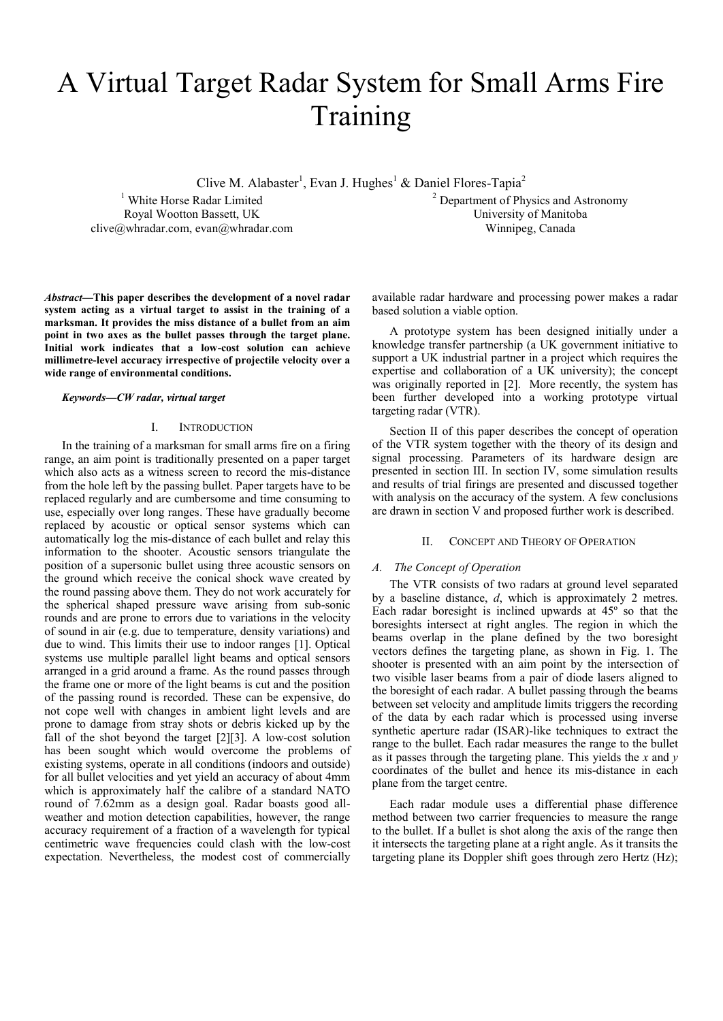# A Virtual Target Radar System for Small Arms Fire Training

Clive M. Alabaster<sup>1</sup>, Evan J. Hughes<sup>1</sup> & Daniel Flores-Tapia<sup>2</sup>

<sup>1</sup> White Horse Radar Limited Royal Wootton Bassett, UK clive@whradar.com, evan@whradar.com <sup>2</sup> Department of Physics and Astronomy University of Manitoba Winnipeg, Canada

*Abstract***—This paper describes the development of a novel radar system acting as a virtual target to assist in the training of a marksman. It provides the miss distance of a bullet from an aim point in two axes as the bullet passes through the target plane. Initial work indicates that a low-cost solution can achieve millimetre-level accuracy irrespective of projectile velocity over a wide range of environmental conditions.**

#### *Keywords—CW radar, virtual target*

#### I. INTRODUCTION

In the training of a marksman for small arms fire on a firing range, an aim point is traditionally presented on a paper target which also acts as a witness screen to record the mis-distance from the hole left by the passing bullet. Paper targets have to be replaced regularly and are cumbersome and time consuming to use, especially over long ranges. These have gradually become replaced by acoustic or optical sensor systems which can automatically log the mis-distance of each bullet and relay this information to the shooter. Acoustic sensors triangulate the position of a supersonic bullet using three acoustic sensors on the ground which receive the conical shock wave created by the round passing above them. They do not work accurately for the spherical shaped pressure wave arising from sub-sonic rounds and are prone to errors due to variations in the velocity of sound in air (e.g. due to temperature, density variations) and due to wind. This limits their use to indoor ranges [\[1\].](#page-5-0) Optical systems use multiple parallel light beams and optical sensors arranged in a grid around a frame. As the round passes through the frame one or more of the light beams is cut and the position of the passing round is recorded. These can be expensive, do not cope well with changes in ambient light levels and are prone to damage from stray shots or debris kicked up by the fall of the shot beyond the target [\[2\]\[3\].](#page-5-1) A low-cost solution has been sought which would overcome the problems of existing systems, operate in all conditions (indoors and outside) for all bullet velocities and yet yield an accuracy of about 4mm which is approximately half the calibre of a standard NATO round of 7.62mm as a design goal. Radar boasts good allweather and motion detection capabilities, however, the range accuracy requirement of a fraction of a wavelength for typical centimetric wave frequencies could clash with the low-cost expectation. Nevertheless, the modest cost of commercially

available radar hardware and processing power makes a radar based solution a viable option.

A prototype system has been designed initially under a knowledge transfer partnership (a UK government initiative to support a UK industrial partner in a project which requires the expertise and collaboration of a UK university); the concept was originally reported in [\[2\].](#page-5-1) More recently, the system has been further developed into a working prototype virtual targeting radar (VTR).

Section II of this paper describes the concept of operation of the VTR system together with the theory of its design and signal processing. Parameters of its hardware design are presented in section III. In section IV, some simulation results and results of trial firings are presented and discussed together with analysis on the accuracy of the system. A few conclusions are drawn in section V and proposed further work is described.

## II. CONCEPT AND THEORY OF OPERATION

#### *A. The Concept of Operation*

The VTR consists of two radars at ground level separated by a baseline distance, *d*, which is approximately 2 metres. Each radar boresight is inclined upwards at 45º so that the boresights intersect at right angles. The region in which the beams overlap in the plane defined by the two boresight vectors defines the targeting plane, as shown in Fig. 1. The shooter is presented with an aim point by the intersection of two visible laser beams from a pair of diode lasers aligned to the boresight of each radar. A bullet passing through the beams between set velocity and amplitude limits triggers the recording of the data by each radar which is processed using inverse synthetic aperture radar (ISAR)-like techniques to extract the range to the bullet. Each radar measures the range to the bullet as it passes through the targeting plane. This yields the *x* and *y* coordinates of the bullet and hence its mis-distance in each plane from the target centre.

Each radar module uses a differential phase difference method between two carrier frequencies to measure the range to the bullet. If a bullet is shot along the axis of the range then it intersects the targeting plane at a right angle. As it transits the targeting plane its Doppler shift goes through zero Hertz (Hz);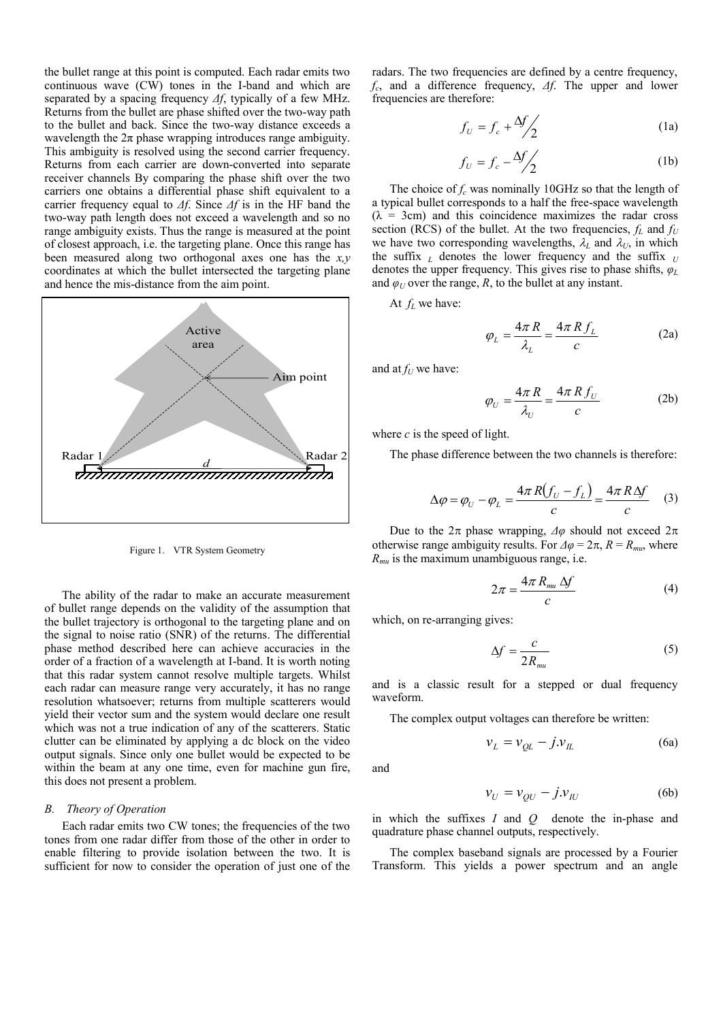the bullet range at this point is computed. Each radar emits two continuous wave (CW) tones in the I-band and which are separated by a spacing frequency *Δf*, typically of a few MHz. Returns from the bullet are phase shifted over the two-way path to the bullet and back. Since the two-way distance exceeds a wavelength the  $2\pi$  phase wrapping introduces range ambiguity. This ambiguity is resolved using the second carrier frequency. Returns from each carrier are down-converted into separate receiver channels By comparing the phase shift over the two carriers one obtains a differential phase shift equivalent to a carrier frequency equal to *Δf*. Since *Δf* is in the HF band the two-way path length does not exceed a wavelength and so no range ambiguity exists. Thus the range is measured at the point of closest approach, i.e. the targeting plane. Once this range has been measured along two orthogonal axes one has the *x,y* coordinates at which the bullet intersected the targeting plane and hence the mis-distance from the aim point.



Figure 1. VTR System Geometry

The ability of the radar to make an accurate measurement of bullet range depends on the validity of the assumption that the bullet trajectory is orthogonal to the targeting plane and on the signal to noise ratio (SNR) of the returns. The differential phase method described here can achieve accuracies in the order of a fraction of a wavelength at I-band. It is worth noting that this radar system cannot resolve multiple targets. Whilst each radar can measure range very accurately, it has no range resolution whatsoever; returns from multiple scatterers would yield their vector sum and the system would declare one result which was not a true indication of any of the scatterers. Static clutter can be eliminated by applying a dc block on the video output signals. Since only one bullet would be expected to be within the beam at any one time, even for machine gun fire, this does not present a problem.

#### *B. Theory of Operation*

Each radar emits two CW tones; the frequencies of the two tones from one radar differ from those of the other in order to enable filtering to provide isolation between the two. It is sufficient for now to consider the operation of just one of the

radars. The two frequencies are defined by a centre frequency, *fc* , and a difference frequency, *Δf*. The upper and lower frequencies are therefore:

$$
f_U = f_c + \frac{\Delta f}{2} \tag{1a}
$$

$$
f_U = f_c - \frac{\Delta f}{2} \tag{1b}
$$

The choice of *f<sup>c</sup>* was nominally 10GHz so that the length of a typical bullet corresponds to a half the free-space wavelength  $(\lambda = 3cm)$  and this coincidence maximizes the radar cross section (RCS) of the bullet. At the two frequencies,  $f_L$  and  $f_U$ we have two corresponding wavelengths,  $\lambda_L$  and  $\lambda_U$ , in which the suffix  $_L$  denotes the lower frequency and the suffix  $_U$ denotes the upper frequency. This gives rise to phase shifts, *φ<sup>L</sup>* and  $\varphi_U$  over the range, *R*, to the bullet at any instant.

At *f<sup>L</sup>* we have:

$$
\varphi_L = \frac{4\pi R}{\lambda_L} = \frac{4\pi R f_L}{c}
$$
 (2a)

and at  $f_U$  we have:

$$
\varphi_U = \frac{4\pi R}{\lambda_U} = \frac{4\pi R f_U}{c}
$$
 (2b)

where *c* is the speed of light.

The phase difference between the two channels is therefore:

$$
\Delta \varphi = \varphi_U - \varphi_L = \frac{4\pi R(f_U - f_L)}{c} = \frac{4\pi R\Delta f}{c} \quad (3)
$$

Due to the  $2\pi$  phase wrapping,  $\Delta\varphi$  should not exceed  $2\pi$ otherwise range ambiguity results. For  $\Delta \varphi = 2\pi$ ,  $R = R_{mu}$ , where *Rmu* is the maximum unambiguous range, i.e.

$$
2\pi = \frac{4\pi R_{mu}\Delta f}{c} \tag{4}
$$

which, on re-arranging gives:

$$
\Delta f = \frac{c}{2R_{mu}}\tag{5}
$$

and is a classic result for a stepped or dual frequency waveform.

The complex output voltages can therefore be written:

$$
v_L = v_{QL} - j.v_L \tag{6a}
$$

and

$$
v_U = v_{QU} - j.v_{IU}
$$
 (6b)

in which the suffixes *I* and *Q* denote the in-phase and quadrature phase channel outputs, respectively.

The complex baseband signals are processed by a Fourier Transform. This yields a power spectrum and an angle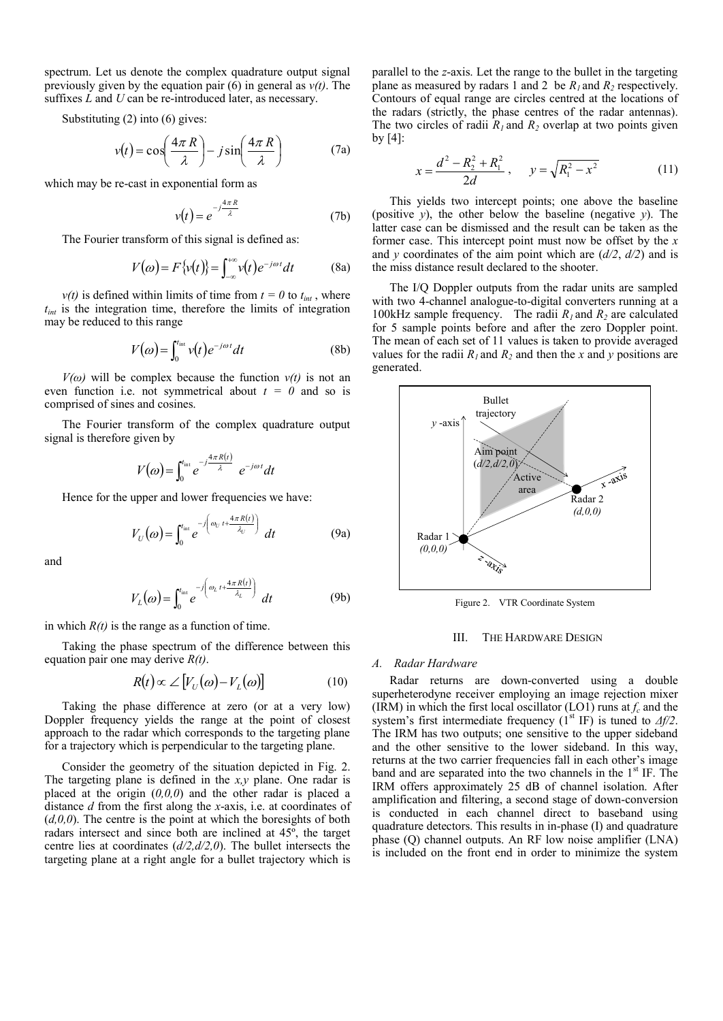spectrum. Let us denote the complex quadrature output signal previously given by the equation pair  $(6)$  in general as  $v(t)$ . The suffixes *L* and *U* can be re-introduced later, as necessary.

Substituting (2) into (6) gives:

$$
v(t) = \cos\left(\frac{4\pi R}{\lambda}\right) - j\sin\left(\frac{4\pi R}{\lambda}\right) \tag{7a}
$$

which may be re-cast in exponential form as

$$
v(t) = e^{-j\frac{4\pi R}{\lambda}}
$$
 (7b)

The Fourier transform of this signal is defined as:

$$
V(\omega) = F\{v(t)\} = \int_{-\infty}^{+\infty} v(t) e^{-j\omega t} dt
$$
 (8a)

 $v(t)$  is defined within limits of time from  $t = 0$  to  $t_{int}$ , where *tint* is the integration time, therefore the limits of integration may be reduced to this range

$$
V(\omega) = \int_0^{t_{\rm int}} v(t) e^{-j\omega t} dt
$$
 (8b)

 $V(\omega)$  will be complex because the function  $v(t)$  is not an even function i.e. not symmetrical about  $t = 0$  and so is comprised of sines and cosines.

The Fourier transform of the complex quadrature output signal is therefore given by

$$
V(\omega) = \int_0^{t_{\rm int}} e^{-j\frac{4\pi R(t)}{\lambda}} e^{-j\omega t} dt
$$

Hence for the upper and lower frequencies we have:

$$
V_U(\omega) = \int_0^{t_{\rm int}} e^{-j\left(\omega_U t + \frac{4\pi R(t)}{\lambda_U}\right)} dt
$$
 (9a)

and

$$
V_L(\omega) = \int_0^{t_{\rm int}} e^{-j\left(\omega_L t + \frac{4\pi R(t)}{\lambda_L}\right)} dt
$$
 (9b)

in which  $R(t)$  is the range as a function of time.

Taking the phase spectrum of the difference between this equation pair one may derive *R(t)*.

$$
R(t) \propto \angle \left[ V_U(\omega) - V_L(\omega) \right] \tag{10}
$$

Taking the phase difference at zero (or at a very low) Doppler frequency yields the range at the point of closest approach to the radar which corresponds to the targeting plane for a trajectory which is perpendicular to the targeting plane.

Consider the geometry of the situation depicted in Fig. 2. The targeting plane is defined in the *x,y* plane. One radar is placed at the origin (*0,0,0*) and the other radar is placed a distance *d* from the first along the *x*-axis, i.e. at coordinates of (*d,0,0*). The centre is the point at which the boresights of both radars intersect and since both are inclined at 45º, the target centre lies at coordinates (*d/2,d/2,0*). The bullet intersects the targeting plane at a right angle for a bullet trajectory which is

parallel to the *z*-axis. Let the range to the bullet in the targeting plane as measured by radars 1 and 2 be  $R_1$  and  $R_2$  respectively. Contours of equal range are circles centred at the locations of the radars (strictly, the phase centres of the radar antennas). The two circles of radii  $R_1$  and  $R_2$  overlap at two points given by  $[4]$ :

$$
x = \frac{d^2 - R_2^2 + R_1^2}{2d}, \qquad y = \sqrt{R_1^2 - x^2} \tag{11}
$$

This yields two intercept points; one above the baseline (positive *y*), the other below the baseline (negative *y*). The latter case can be dismissed and the result can be taken as the former case. This intercept point must now be offset by the *x* and *y* coordinates of the aim point which are  $\left(\frac{d}{2}, \frac{d}{2}\right)$  and is the miss distance result declared to the shooter.

The I/Q Doppler outputs from the radar units are sampled with two 4-channel analogue-to-digital converters running at a 100kHz sample frequency. The radii  $R_1$  and  $R_2$  are calculated for 5 sample points before and after the zero Doppler point. The mean of each set of 11 values is taken to provide averaged values for the radii  $R_1$  and  $R_2$  and then the *x* and *y* positions are generated.



Figure 2. VTR Coordinate System

## III. THE HARDWARE DESIGN

#### *A. Radar Hardware*

Radar returns are down-converted using a double superheterodyne receiver employing an image rejection mixer (IRM) in which the first local oscillator (LO1) runs at  $f_c$  and the system's first intermediate frequency ( $1<sup>st</sup> IF$ ) is tuned to  $\Delta f/2$ . The IRM has two outputs; one sensitive to the upper sideband and the other sensitive to the lower sideband. In this way, returns at the two carrier frequencies fall in each other's image band and are separated into the two channels in the  $1<sup>st</sup>$  IF. The IRM offers approximately 25 dB of channel isolation. After amplification and filtering, a second stage of down-conversion is conducted in each channel direct to baseband using quadrature detectors. This results in in-phase (I) and quadrature phase (Q) channel outputs. An RF low noise amplifier (LNA) is included on the front end in order to minimize the system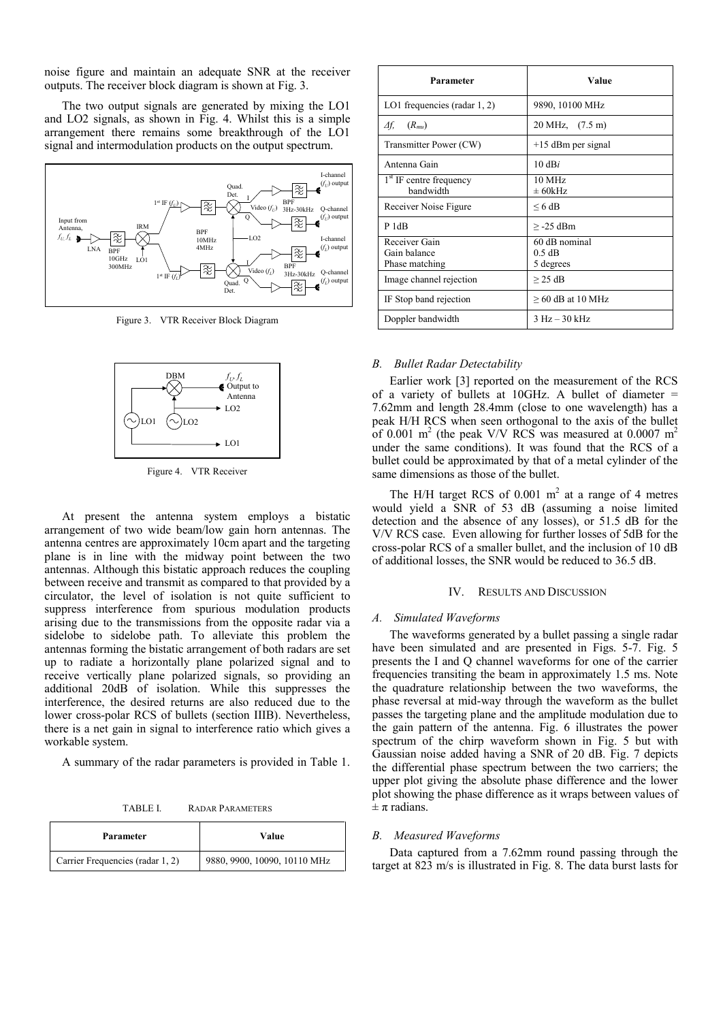noise figure and maintain an adequate SNR at the receiver outputs. The receiver block diagram is shown at Fig. 3.

The two output signals are generated by mixing the LO1 and LO2 signals, as shown in Fig. 4. Whilst this is a simple arrangement there remains some breakthrough of the LO1 signal and intermodulation products on the output spectrum.



Figure 3. VTR Receiver Block Diagram



Figure 4. VTR Receiver

At present the antenna system employs a bistatic arrangement of two wide beam/low gain horn antennas. The antenna centres are approximately 10cm apart and the targeting plane is in line with the midway point between the two antennas. Although this bistatic approach reduces the coupling between receive and transmit as compared to that provided by a circulator, the level of isolation is not quite sufficient to suppress interference from spurious modulation products arising due to the transmissions from the opposite radar via a sidelobe to sidelobe path. To alleviate this problem the antennas forming the bistatic arrangement of both radars are set up to radiate a horizontally plane polarized signal and to receive vertically plane polarized signals, so providing an additional 20dB of isolation. While this suppresses the interference, the desired returns are also reduced due to the lower cross-polar RCS of bullets (section IIIB). Nevertheless, there is a net gain in signal to interference ratio which gives a workable system.

A summary of the radar parameters is provided in Table 1.

TABLE I. RADAR PARAMETERS

| Parameter                        | Value                        |  |  |
|----------------------------------|------------------------------|--|--|
| Carrier Frequencies (radar 1, 2) | 9880, 9900, 10090, 10110 MHz |  |  |

| Parameter                              | Value                   |  |  |
|----------------------------------------|-------------------------|--|--|
| LO1 frequencies (radar $1, 2$ )        | 9890, 10100 MHz         |  |  |
| Δf,<br>$(R_{mu})$                      | 20 MHz, (7.5 m)         |  |  |
| Transmitter Power (CW)                 | $+15$ dBm per signal    |  |  |
| Antenna Gain                           | 10 dBi                  |  |  |
| $1st$ IF centre frequency<br>bandwidth | $10$ MHz<br>$\pm$ 60kHz |  |  |
| Receiver Noise Figure                  | $\leq 6$ dB             |  |  |
| P <sub>1dB</sub>                       | $> -25$ dBm             |  |  |
| Receiver Gain                          | 60 dB nominal           |  |  |
| Gain balance                           | $0.5$ dB                |  |  |
| Phase matching                         | 5 degrees               |  |  |
| Image channel rejection                | $\geq$ 25 dB            |  |  |
| IF Stop band rejection                 | $\geq$ 60 dB at 10 MHz  |  |  |
| Doppler bandwidth                      | $3 HZ - 30 kHz$         |  |  |

## *B. Bullet Radar Detectability*

Earlier work [\[3\]](#page-5-3) reported on the measurement of the RCS of a variety of bullets at 10GHz. A bullet of diameter  $=$ 7.62mm and length 28.4mm (close to one wavelength) has a peak H/H RCS when seen orthogonal to the axis of the bullet of 0.001 m<sup>2</sup> (the peak V/V RCS was measured at 0.0007 m<sup>2</sup> under the same conditions). It was found that the RCS of a bullet could be approximated by that of a metal cylinder of the same dimensions as those of the bullet.

The H/H target RCS of  $0.001 \text{ m}^2$  at a range of 4 metres would yield a SNR of 53 dB (assuming a noise limited detection and the absence of any losses), or 51.5 dB for the V/V RCS case. Even allowing for further losses of 5dB for the cross-polar RCS of a smaller bullet, and the inclusion of 10 dB of additional losses, the SNR would be reduced to 36.5 dB.

#### IV. RESULTS AND DISCUSSION

## *A. Simulated Waveforms*

The waveforms generated by a bullet passing a single radar have been simulated and are presented in Figs. 5-7. Fig. 5 presents the I and Q channel waveforms for one of the carrier frequencies transiting the beam in approximately 1.5 ms. Note the quadrature relationship between the two waveforms, the phase reversal at mid-way through the waveform as the bullet passes the targeting plane and the amplitude modulation due to the gain pattern of the antenna. Fig. 6 illustrates the power spectrum of the chirp waveform shown in Fig. 5 but with Gaussian noise added having a SNR of 20 dB. Fig. 7 depicts the differential phase spectrum between the two carriers; the upper plot giving the absolute phase difference and the lower plot showing the phase difference as it wraps between values of  $\pm \pi$  radians.

#### *B. Measured Waveforms*

Data captured from a 7.62mm round passing through the target at 823 m/s is illustrated in Fig. 8. The data burst lasts for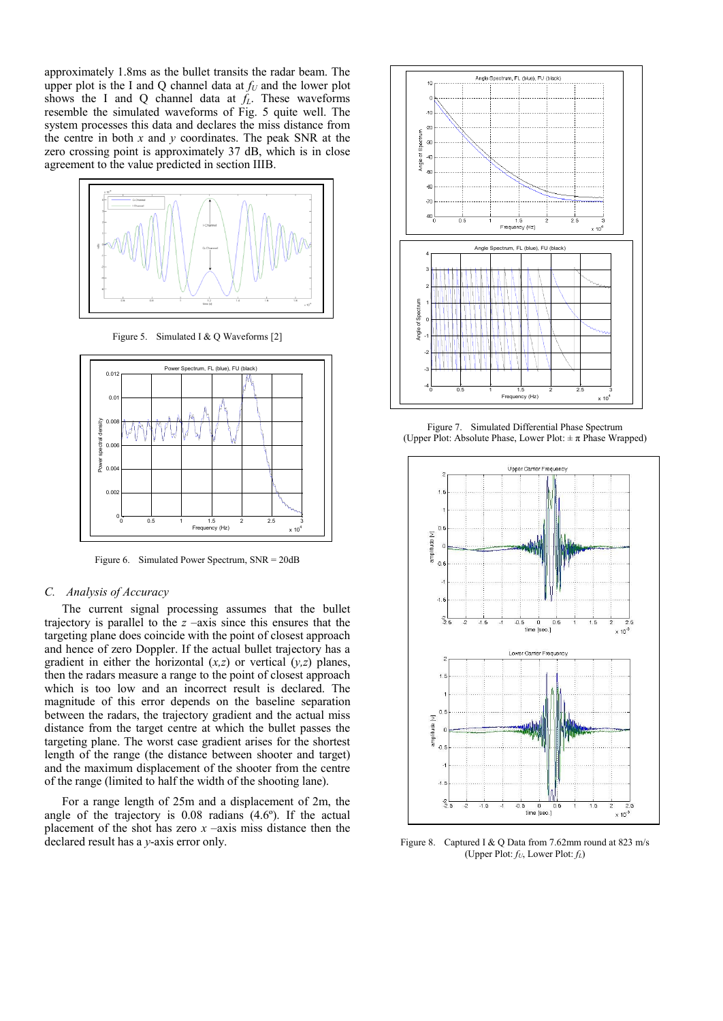approximately 1.8ms as the bullet transits the radar beam. The upper plot is the I and Q channel data at  $f_U$  and the lower plot shows the I and Q channel data at *fL*. These waveforms resemble the simulated waveforms of Fig. 5 quite well. The system processes this data and declares the miss distance from the centre in both *x* and *y* coordinates. The peak SNR at the zero crossing point is approximately 37 dB, which is in close agreement to the value predicted in section IIIB.



Figure 5. Simulated I & Q Waveforms [\[2\]](#page-5-1)



Figure 6. Simulated Power Spectrum, SNR = 20dB

## *C. Analysis of Accuracy*

The current signal processing assumes that the bullet trajectory is parallel to the  $z$  –axis since this ensures that the targeting plane does coincide with the point of closest approach and hence of zero Doppler. If the actual bullet trajectory has a gradient in either the horizontal (*x,z*) or vertical (*y,z*) planes, then the radars measure a range to the point of closest approach which is too low and an incorrect result is declared. The magnitude of this error depends on the baseline separation between the radars, the trajectory gradient and the actual miss distance from the target centre at which the bullet passes the targeting plane. The worst case gradient arises for the shortest length of the range (the distance between shooter and target) and the maximum displacement of the shooter from the centre of the range (limited to half the width of the shooting lane).

For a range length of 25m and a displacement of 2m, the angle of the trajectory is 0.08 radians (4.6º). If the actual placement of the shot has zero  $x$  –axis miss distance then the declared result has a *y*-axis error only.



Figure 7. Simulated Differential Phase Spectrum (Upper Plot: Absolute Phase, Lower Plot:  $\pm \pi$  Phase Wrapped)



Figure 8. Captured I & Q Data from 7.62mm round at 823 m/s (Upper Plot: *fU*, Lower Plot: *fL*)